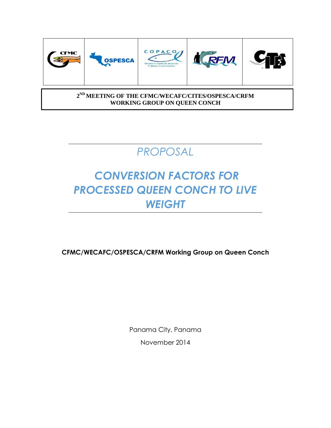

#### **2 ND MEETING OF THE CFMC/WECAFC/CITES/OSPESCA/CRFM WORKING GROUP ON QUEEN CONCH**

# *PROPOSAL*

# *CONVERSION FACTORS FOR PROCESSED QUEEN CONCH TO LIVE WEIGHT*

**CFMC/WECAFC/OSPESCA/CRFM Working Group on Queen Conch**

Panama City, Panama November 2014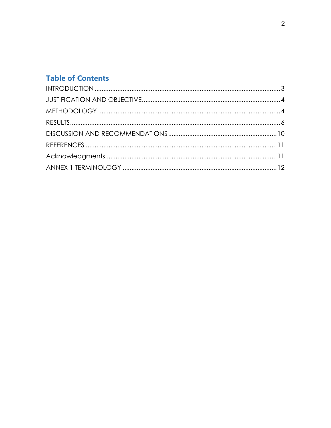## **Table of Contents**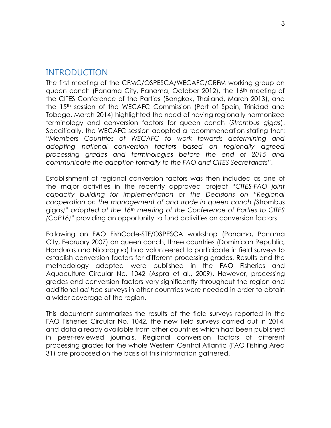### <span id="page-2-0"></span>INTRODUCTION

The first meeting of the CFMC/OSPESCA/WECAFC/CRFM working group on queen conch (Panama City, Panama, October 2012), the 16<sup>th</sup> meeting of the CITES Conference of the Parties (Bangkok, Thailand, March 2013), and the 15th session of the WECAFC Commission (Port of Spain, Trinidad and Tobago, March 2014) highlighted the need of having regionally harmonized terminology and conversion factors for queen conch (*Strombus gigas*). Specifically, the WECAFC session adopted a recommendation stating that: "*Members Countries of WECAFC to work towards determining and adopting national conversion factors based on regionally agreed processing grades and terminologies before the end of 2015 and communicate the adoption formally to the FAO and CITES Secretariats*".

Establishment of regional conversion factors was then included as one of the major activities in the recently approved project "*CITES-FAO joint capacity building for implementation of the Decisions on "Regional cooperation on the management of and trade in queen conch (*Strombus gigas*)" adopted at the 16th meeting of the Conference of Parties to CITES (CoP16)*" providing an opportunity to fund activities on conversion factors.

Following an FAO FishCode-STF/OSPESCA workshop (Panama, Panama City, February 2007) on queen conch, three countries (Dominican Republic, Honduras and Nicaragua) had volunteered to participate in field surveys to establish conversion factors for different processing grades. Results and the methodology adopted were published in the FAO Fisheries and Aquaculture Circular No. 1042 (Aspra et al*.*, 2009). However, processing grades and conversion factors vary significantly throughout the region and additional *ad hoc* surveys in other countries were needed in order to obtain a wider coverage of the region.

This document summarizes the results of the field surveys reported in the FAO Fisheries Circular No. 1042, the new field surveys carried out in 2014, and data already available from other countries which had been published in peer-reviewed journals. Regional conversion factors of different processing grades for the whole Western Central Atlantic (FAO Fishing Area 31) are proposed on the basis of this information gathered.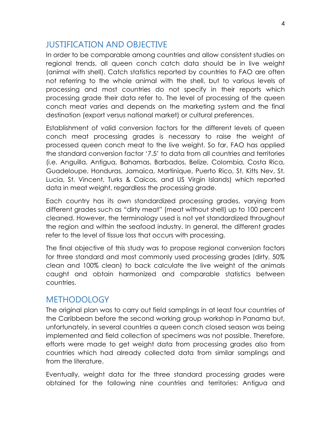## <span id="page-3-0"></span>JUSTIFICATION AND OBJECTIVE

In order to be comparable among countries and allow consistent studies on regional trends, all queen conch catch data should be in live weight (animal with shell). Catch statistics reported by countries to FAO are often not referring to the whole animal with the shell, but to various levels of processing and most countries do not specify in their reports which processing grade their data refer to. The level of processing of the queen conch meat varies and depends on the marketing system and the final destination (export versus national market) or cultural preferences.

Establishment of valid conversion factors for the different levels of queen conch meat processing grades is necessary to raise the weight of processed queen conch meat to the live weight. So far, FAO has applied the standard conversion factor '7.5' to data from all countries and territories (i.e. Anguilla, Antigua, Bahamas, Barbados, Belize, Colombia, Costa Rica, Guadeloupe, Honduras, Jamaica, Martinique, Puerto Rico, St. Kitts Nev, St. Lucia, St. Vincent, Turks & Caicos, and US Virgin Islands) which reported data in meat weight, regardless the processing grade.

Each country has its own standardized processing grades, varying from different grades such as "dirty meat" (meat without shell) up to 100 percent cleaned. However, the terminology used is not yet standardized throughout the region and within the seafood industry. In general, the different grades refer to the level of tissue loss that occurs with processing.

The final objective of this study was to propose regional conversion factors for three standard and most commonly used processing grades (dirty, 50% clean and 100% clean) to back calculate the live weight of the animals caught and obtain harmonized and comparable statistics between countries.

## <span id="page-3-1"></span>**METHODOLOGY**

The original plan was to carry out field samplings in at least four countries of the Caribbean before the second working group workshop in Panama but, unfortunately, in several countries a queen conch closed season was being implemented and field collection of specimens was not possible. Therefore, efforts were made to get weight data from processing grades also from countries which had already collected data from similar samplings and from the literature.

Eventually, weight data for the three standard processing grades were obtained for the following nine countries and territories: Antigua and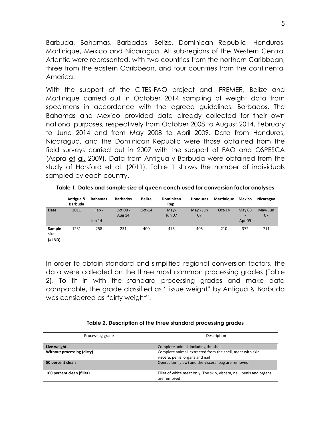Barbuda, Bahamas, Barbados, Belize, Dominican Republic, Honduras, Martinique, Mexico and Nicaragua. All sub-regions of the Western Central Atlantic were represented, with two countries from the northern Caribbean, three from the eastern Caribbean, and four countries from the continental America.

With the support of the CITES-FAO project and IFREMER, Belize and Martinique carried out in October 2014 sampling of weight data from specimens in accordance with the agreed guidelines. Barbados, The Bahamas and Mexico provided data already collected for their own national purposes, respectively from October 2008 to August 2014, February to June 2014 and from May 2008 to April 2009. Data from Honduras, Nicaragua, and the Dominican Republic were those obtained from the field surveys carried out in 2007 with the support of FAO and OSPESCA (Aspra et al, 2009). Data from Antigua y Barbuda were obtained from the study of Horsford et al. (2011). Table 1 shows the number of individuals sampled by each country.

|                           | Antigua &<br><b>Barbuda</b> | <b>Bahamas</b>   | <b>Barbados</b>           | <b>Belize</b> | <b>Dominican</b><br>Rep. | <b>Honduras</b> | <b>Martinique</b> | Mexico                           | <b>Nicaragua</b> |
|---------------------------|-----------------------------|------------------|---------------------------|---------------|--------------------------|-----------------|-------------------|----------------------------------|------------------|
| <b>Date</b>               | 2011                        | Feb-<br>Jun $14$ | Oct 08 -<br><b>Aug 14</b> | $Oct-14$      | $May-$<br><b>Jun 07</b>  | May - Jun<br>07 | $Oct-14$          | May 08<br>-<br>Apr <sub>09</sub> | May- Jun<br>07   |
| Sample<br>size<br>(# IND) | 1231                        | 258              | 231                       | 400           | 475                      | 405             | 210               | 372                              | 711              |

**Table 1. Dates and sample size of queen conch used for conversion factor analyses**

In order to obtain standard and simplified regional conversion factors, the data were collected on the three most common processing grades (Table 2). To fit in with the standard processing grades and make data comparable, the grade classified as "tissue weight" by Antigua & Barbuda was considered as "dirty weight".

| Processing grade           | Description                                                                                  |
|----------------------------|----------------------------------------------------------------------------------------------|
| Live weight                | Complete animal, including the shell                                                         |
| Without processing (dirty) | Complete animal extracted from the shell, meat with skin,<br>viscera, penis, organs and nail |
| 50 percent clean           | Operculum (claw) and the visceral bag are removed                                            |
| 100 percent clean (fillet) | Fillet of white meat only. The skin, viscera, nail, penis and organs<br>are removed          |

#### **Table 2. Description of the three standard processing grades**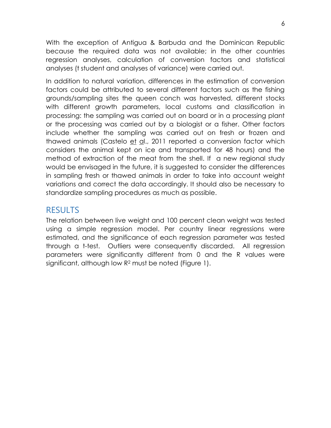With the exception of Antigua & Barbuda and the Dominican Republic because the required data was not available; in the other countries regression analyses, calculation of conversion factors and statistical analyses (t student and analyses of variance) were carried out.

In addition to natural variation, differences in the estimation of conversion factors could be attributed to several different factors such as the fishing grounds/sampling sites the queen conch was harvested, different stocks with different growth parameters, local customs and classification in processing: the sampling was carried out on board or in a processing plant or the processing was carried out by a biologist or a fisher. Other factors include whether the sampling was carried out on fresh or frozen and thawed animals (Castelo et al., 2011 reported a conversion factor which considers the animal kept on ice and transported for 48 hours) and the method of extraction of the meat from the shell. If a new regional study would be envisaged in the future, it is suggested to consider the differences in sampling fresh or thawed animals in order to take into account weight variations and correct the data accordingly. It should also be necessary to standardize sampling procedures as much as possible.

## <span id="page-5-0"></span>RESULTS

The relation between live weight and 100 percent clean weight was tested using a simple regression model. Per country linear regressions were estimated, and the significance of each regression parameter was tested through a t-test. Outliers were consequently discarded. All regression parameters were significantly different from 0 and the R values were significant, although low R<sup>2</sup> must be noted (Figure 1).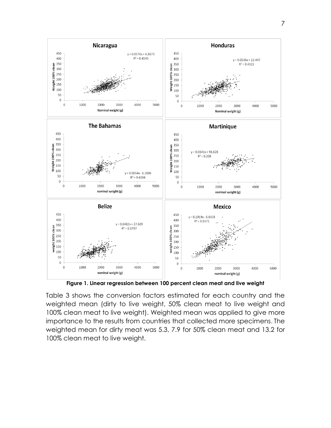

**Figure 1. Linear regression between 100 percent clean meat and live weight**

Table 3 shows the conversion factors estimated for each country and the weighted mean (dirty to live weight, 50% clean meat to live weight and 100% clean meat to live weight). Weighted mean was applied to give more importance to the results from countries that collected more specimens. The weighted mean for dirty meat was 5.3, 7.9 for 50% clean meat and 13.2 for 100% clean meat to live weight.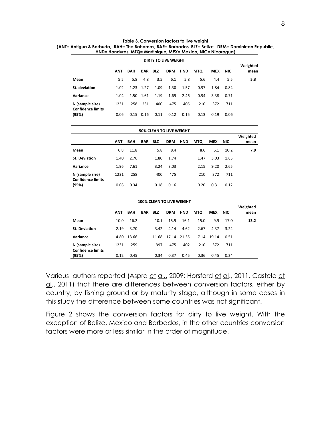| <b>DIRTY TO LIVE WEIGHT</b>                                                                     |      |      |      |      |      |      |      |      |      |     |
|-------------------------------------------------------------------------------------------------|------|------|------|------|------|------|------|------|------|-----|
| <b>HND</b><br><b>MTQ</b><br>BAR<br>BLZ<br><b>DRM</b><br><b>MEX</b><br><b>BAH</b><br>ANT<br>NIC. |      |      |      |      |      |      |      |      |      |     |
| Mean                                                                                            | 5.5  | 5.8  | 4.8  | 3.5  | 6.1  | 5.8  | 5.6  | 4.4  | 5.5  | 5.3 |
| St. deviation                                                                                   | 1.02 | 1.23 | 1.27 | 1.09 | 1.30 | 1.57 | 0.97 | 1.84 | 0.84 |     |
| Variance                                                                                        | 1.04 | 1.50 | 1.61 | 1.19 | 1.69 | 2.46 | 0.94 | 3.38 | 0.71 |     |
| N (sample size)                                                                                 | 1231 | 258  | 231  | 400  | 475  | 405  | 210  | 372  | 711  |     |
| <b>Confidence limits</b><br>(95%)                                                               | 0.06 | 0.15 | 0.16 | 0.11 | 0.12 | 0.15 | 0.13 | 0.19 | 0.06 |     |

| Table 3. Conversion factors to live weight                                                      |  |  |  |  |  |  |  |
|-------------------------------------------------------------------------------------------------|--|--|--|--|--|--|--|
| (ANT= Antiqua & Barbuda, BAH= The Bahamas, BAR= Barbados, BLZ= Belize, DRM= Dominican Republic, |  |  |  |  |  |  |  |
| HND= Honduras, MTQ= Martinique, MEX= Mexico, NIC= Nicaragua)                                    |  |  |  |  |  |  |  |

| <b>50% CLEAN TO LIVE WEIGHT</b>             |            |            |     |            |            |            |            |            |            |      |  |
|---------------------------------------------|------------|------------|-----|------------|------------|------------|------------|------------|------------|------|--|
|                                             |            |            |     |            |            |            |            |            |            |      |  |
|                                             | <b>ANT</b> | <b>BAH</b> | BAR | <b>BLZ</b> | <b>DRM</b> | <b>HND</b> | <b>MTQ</b> | <b>MEX</b> | <b>NIC</b> | mean |  |
| Mean                                        | 6.8        | 11.8       |     | 5.8        | 8.4        |            | 8.6        | 6.1        | 10.2       | 7.9  |  |
| <b>St. Deviation</b>                        | 1.40       | 2.76       |     | 1.80       | 1.74       |            | 1.47       | 3.03       | 1.63       |      |  |
| Variance                                    | 1.96       | 7.61       |     | 3.24       | 3.03       |            | 2.15       | 9.20       | 2.65       |      |  |
| N (sample size)<br><b>Confidence limits</b> | 1231       | 258        |     | 400        | 475        |            | 210        | 372        | 711        |      |  |
| (95%)                                       | 0.08       | 0.34       |     | 0.18       | 0.16       |            | 0.20       | 0.31       | 0.12       |      |  |

| <b>100% CLEAN TO LIVE WEIGHT</b>            |            |            |            |            |             |            |            |            |            |          |
|---------------------------------------------|------------|------------|------------|------------|-------------|------------|------------|------------|------------|----------|
|                                             |            |            |            |            |             |            |            |            |            | Weighted |
|                                             | <b>ANT</b> | <b>BAH</b> | <b>BAR</b> | <b>BLZ</b> | <b>DRM</b>  | <b>HND</b> | <b>MTQ</b> | <b>MEX</b> | <b>NIC</b> | mean     |
| Mean                                        | 10.0       | 16.2       |            | 10.1       | 15.9        | 16.1       | 15.0       | 9.9        | 17.0       | 13.2     |
| <b>St. Deviation</b>                        | 2.19       | 3.70       |            | 3.42       | 4.14        | 4.62       | 2.67       | 4.37       | 3.24       |          |
| Variance                                    | 4.80       | 13.66      |            | 11.68      | 17.14 21.35 |            | 7.14       | 19.14      | 10.51      |          |
| N (sample size)<br><b>Confidence limits</b> | 1231       | 259        |            | 397        | 475         | 402        | 210        | 372        | 711        |          |
| (95%)                                       | 0.12       | 0.45       |            | 0.34       | 0.37        | 0.45       | 0.36       | 0.45       | 0.24       |          |

Various authors reported (Aspra et al., 2009; Horsford et al., 2011, Castelo et al., 2011) that there are differences between conversion factors, either by country, by fishing ground or by maturity stage, although in some cases in this study the difference between some countries was not significant.

Figure 2 shows the conversion factors for dirty to live weight. With the exception of Belize, Mexico and Barbados, in the other countries conversion factors were more or less similar in the order of magnitude.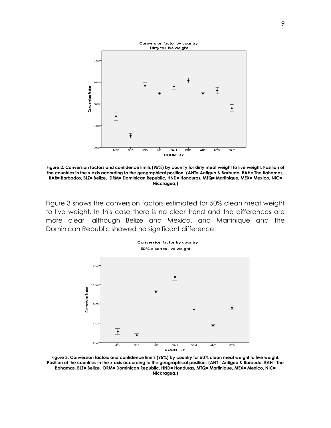

**Figure 2. Conversion factors and confidence limits (95%) by country for dirty meat weight to live weight. Position of the countries in the x axis according to the geographical position. (ANT= Antigua & Barbuda, BAH= The Bahamas, BAR= Barbados, BLZ= Belize, DRM= Dominican Republic, HND= Honduras, MTQ= Martinique, MEX= Mexico, NIC= Nicaragua,)** 

Figure 3 shows the conversion factors estimated for 50% clean meat weight to live weight. In this case there is no clear trend and the differences are more clear, although Belize and Mexico, and Martinique and the Dominican Republic showed no significant difference.



**Figure 3. Conversion factors and confidence limits (95%) by country for 50% clean meat weight to live weight. Position of the countries in the x axis according to the geographical position. (ANT= Antigua & Barbuda, BAH= The**  Bahamas, BLZ= Belize, DRM= Dominican Republic, HND= Honduras, MTQ= Martinique, MEX= Mexico, NIC= **Nicaragua,)**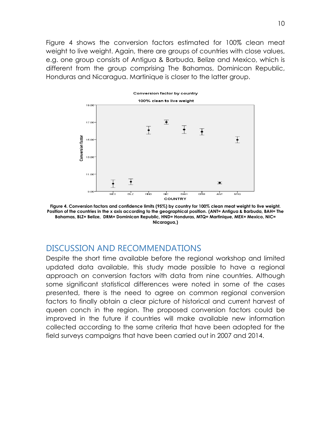Figure 4 shows the conversion factors estimated for 100% clean meat weight to live weight. Again, there are groups of countries with close values, e.g. one group consists of Antigua & Barbuda, Belize and Mexico, which is different from the group comprising The Bahamas, Dominican Republic, Honduras and Nicaragua. Martinique is closer to the latter group.



**Figure 4. Conversion factors and confidence limits (95%) by country for 100% clean meat weight to live weight. Position of the countries in the x axis according to the geographical position. (ANT= Antigua & Barbuda, BAH= The Bahamas, BLZ= Belize, DRM= Dominican Republic, HND= Honduras, MTQ= Martinique, MEX= Mexico, NIC= Nicaragua,)** 

## <span id="page-9-0"></span>DISCUSSION AND RECOMMENDATIONS

Despite the short time available before the regional workshop and limited updated data available, this study made possible to have a regional approach on conversion factors with data from nine countries. Although some significant statistical differences were noted in some of the cases presented, there is the need to agree on common regional conversion factors to finally obtain a clear picture of historical and current harvest of queen conch in the region. The proposed conversion factors could be improved in the future if countries will make available new information collected according to the same criteria that have been adopted for the field surveys campaigns that have been carried out in 2007 and 2014.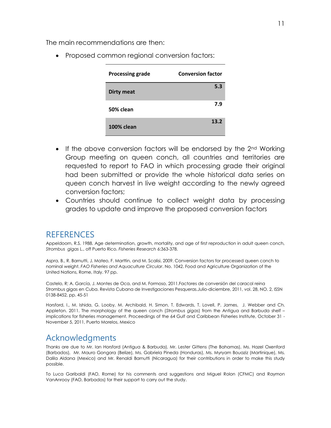The main recommendations are then:

• Proposed common regional conversion factors:

| <b>Processing grade</b> | <b>Conversion factor</b> |
|-------------------------|--------------------------|
| <b>Dirty meat</b>       | 5.3                      |
| 50% clean               | 7.9                      |
| <b>100% clean</b>       | 13.2                     |

- If the above conversion factors will be endorsed by the  $2<sup>nd</sup>$  Working Group meeting on queen conch, all countries and territories are requested to report to FAO in which processing grade their original had been submitted or provide the whole historical data series on queen conch harvest in live weight according to the newly agreed conversion factors;
- Countries should continue to collect weight data by processing grades to update and improve the proposed conversion factors

## <span id="page-10-0"></span>REFERENCES

Appeldoorn, R.S. 1988. Age determination, growth, mortality, and age of first reproduction in adult queen conch, *Strombus gigas* L., off Puerto Rico. *Fisheries Research* 6:363-378.

Aspra, B., R. Barnutti, J. Mateo, F. Marttin, and M. Scalisi, 2009. Conversion factors for processed queen conch to nominal weight. *FAO Fisheries and Aquaculture Circular*. No. 1042. Food and Agriculture Organization of the United Nations, Rome, Italy. 97 pp.

Castelo, R; A. García, J. Montes de Oca, and M. Formoso, 2011.Factores de conversión del caracol reina Strombus gigas en Cuba. Revista Cubana de Investigaciones Pesqueras.Julio-diciembre, 2011, vol. 28, NO. 2, ISSN 0138-8452, pp. 45-51

Horsford, I., M. Ishida, G. Looby, M. Archibald, H. Simon, T. Edwards, T. Lovell, P. James, J. Webber and Ch. Appleton. 2011. The morphology of the queen conch (*Strombus gigas*) from the Antigua and Barbuda shelf – implications for fisheries management. Proceedings of the 64 Gulf and Caribbean Fisheries Institute, October 31 - November 5, 2011, Puerto Morelos, Mexico

## <span id="page-10-1"></span>Acknowledgments

Thanks are due to Mr. Ian Horsford (Antigua & Barbuda), Mr. Lester Gittens (The Bahamas), Ms. Hazel Oxenford (Barbados), Mr. Mauro Gongora (Belize), Ms. Gabriela Pineda (Honduras), Ms. Myryam Bouaziz (Martinique), Ms. Dalila Aldana (Mexico) and Mr. Renaldi Barnutti (Nicaragua) for their contributions in order to make this study possible.

To Luca Garibaldi (FAO, Rome) for his comments and suggestions and Miguel Rolon (CFMC) and Raymon VanAnrooy (FAO, Barbados) for their support to carry out the study.